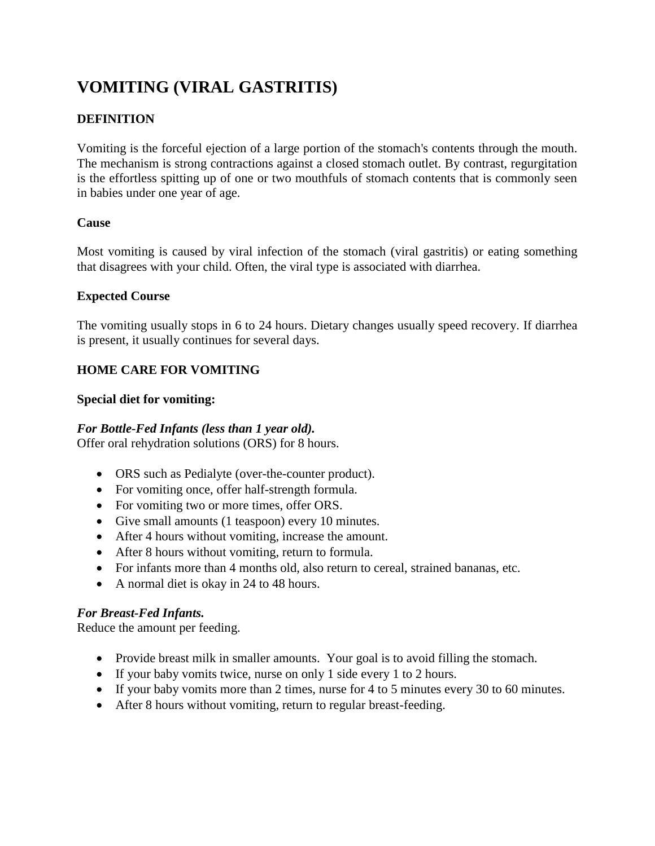# **VOMITING (VIRAL GASTRITIS)**

# **DEFINITION**

Vomiting is the forceful ejection of a large portion of the stomach's contents through the mouth. The mechanism is strong contractions against a closed stomach outlet. By contrast, regurgitation is the effortless spitting up of one or two mouthfuls of stomach contents that is commonly seen in babies under one year of age.

#### **Cause**

Most vomiting is caused by viral infection of the stomach (viral gastritis) or eating something that disagrees with your child. Often, the viral type is associated with diarrhea.

#### **Expected Course**

The vomiting usually stops in 6 to 24 hours. Dietary changes usually speed recovery. If diarrhea is present, it usually continues for several days.

## **HOME CARE FOR VOMITING**

#### **Special diet for vomiting:**

#### *For Bottle-Fed Infants (less than 1 year old).*

Offer oral rehydration solutions (ORS) for 8 hours.

- ORS such as Pedialyte (over-the-counter product).
- For vomiting once, offer half-strength formula.
- For vomiting two or more times, offer ORS.
- Give small amounts (1 teaspoon) every 10 minutes.
- After 4 hours without vomiting, increase the amount.
- After 8 hours without vomiting, return to formula.
- For infants more than 4 months old, also return to cereal, strained bananas, etc.
- A normal diet is okay in 24 to 48 hours.

## *For Breast-Fed Infants.*

Reduce the amount per feeding.

- Provide breast milk in smaller amounts. Your goal is to avoid filling the stomach.
- If your baby vomits twice, nurse on only 1 side every 1 to 2 hours.
- If your baby vomits more than 2 times, nurse for 4 to 5 minutes every 30 to 60 minutes.
- After 8 hours without vomiting, return to regular breast-feeding.